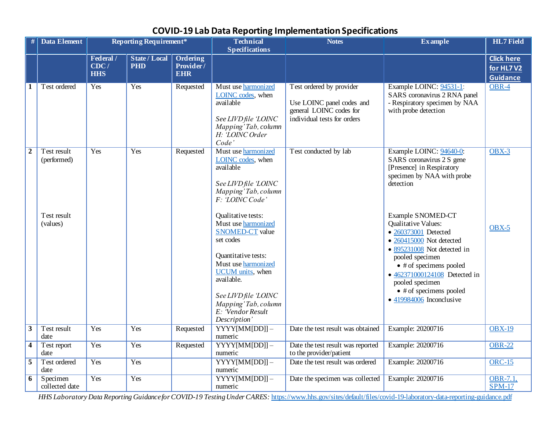|                  | <b>Data Element</b>        |                                 | <b>Reporting Requirement*</b>      |                                      | <b>Technical</b><br><b>Specifications</b>                                                                                                                                                                                                                   | <b>Notes</b>                                                                                                    | <b>Example</b>                                                                                                                                                                                                                                                                                                                      | <b>HL7</b> Field                                  |
|------------------|----------------------------|---------------------------------|------------------------------------|--------------------------------------|-------------------------------------------------------------------------------------------------------------------------------------------------------------------------------------------------------------------------------------------------------------|-----------------------------------------------------------------------------------------------------------------|-------------------------------------------------------------------------------------------------------------------------------------------------------------------------------------------------------------------------------------------------------------------------------------------------------------------------------------|---------------------------------------------------|
|                  |                            | Federal /<br>CDC/<br><b>HHS</b> | <b>State / Local</b><br><b>PHD</b> | Ordering<br>Provider /<br><b>EHR</b> |                                                                                                                                                                                                                                                             |                                                                                                                 |                                                                                                                                                                                                                                                                                                                                     | <b>Click here</b><br>for HL7V2<br><b>Guidance</b> |
| 1                | Test ordered               | Yes                             | Yes                                | Requested                            | Must use harmonized<br>LOINC codes, when<br>available<br>See LIVD file 'LOINC<br>Mapping' Tab, column<br>H: LOINC Order<br>Code'                                                                                                                            | Test ordered by provider<br>Use LOINC panel codes and<br>general LOINC codes for<br>individual tests for orders | Example LOINC: 94531-1:<br>SARS coronavirus 2 RNA panel<br>- Respiratory specimen by NAA<br>with probe detection                                                                                                                                                                                                                    | $OBR-4$                                           |
| $\boldsymbol{2}$ | Test result<br>(performed) | Yes                             | Yes                                | Requested                            | Must use harmonized<br>LOINC codes, when<br>available<br>See LIVD file 'LOINC<br>Mapping' Tab, column<br>F: 'LOINC Code'                                                                                                                                    | Test conducted by lab                                                                                           | Example LOINC: 94640-0:<br>SARS coronavirus 2 S gene<br>[Presence] in Respiratory<br>specimen by NAA with probe<br>detection                                                                                                                                                                                                        | $OBX-3$                                           |
|                  | Test result<br>(values)    |                                 |                                    |                                      | Qualitative tests:<br>Must use harmonized<br><b>SNOMED-CT</b> value<br>set codes<br>Quantitative tests:<br>Must use harmonized<br><b>UCUM</b> units, when<br>available.<br>See LIVD file 'LOINC<br>Mapping' Tab, column<br>E: Vendor Result<br>Description' |                                                                                                                 | Example SNOMED-CT<br><b>Qualitative Values:</b><br>• 260373001 Detected<br>$\bullet$ 260415000 Not detected<br>$\bullet$ 895231008 Not detected in<br>pooled specimen<br>$\bullet$ # of specimens pooled<br>• 462371000124108 Detected in<br>pooled specimen<br>$\bullet$ # of specimens pooled<br>$\bullet$ 419984006 Inconclusive | $OBX-5$                                           |
| $\mathbf{3}$     | Test result<br>date        | Yes                             | Yes                                | Requested                            | $YYYY[MM[DD]] -$<br>numeric                                                                                                                                                                                                                                 | Date the test result was obtained                                                                               | Example: 20200716                                                                                                                                                                                                                                                                                                                   | <b>OBX-19</b>                                     |
| $\overline{4}$   | Test report<br>date        | Yes                             | Yes                                | Requested                            | $YYYY$ [MM[DD]] -<br>numeric                                                                                                                                                                                                                                | Date the test result was reported<br>to the provider/patient                                                    | Example: 20200716                                                                                                                                                                                                                                                                                                                   | <b>OBR-22</b>                                     |
| $\overline{5}$   | Test ordered<br>date       | Yes                             | Yes                                |                                      | $YYYY$ [MM[DD]] -<br>numeric                                                                                                                                                                                                                                | Date the test result was ordered                                                                                | Example: 20200716                                                                                                                                                                                                                                                                                                                   | $ORC-15$                                          |
| 6                | Specimen<br>collected date | Yes                             | Yes                                |                                      | $YYYY[MM[DD]] -$<br>numeric                                                                                                                                                                                                                                 | Date the specimen was collected                                                                                 | Example: 20200716                                                                                                                                                                                                                                                                                                                   | OBR-7.1,<br>$SPM-17$                              |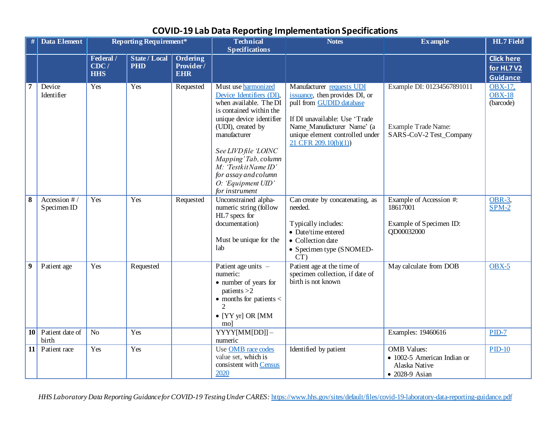|                 | <b>Data Element</b>         |                                 | <b>Reporting Requirement*</b>      |                                     | <b>Technical</b><br><b>Specifications</b>                                                                                                                                                                                                                                                                        | <b>Notes</b>                                                                                                                                                                                                         | <b>Example</b>                                                                       | <b>HL7</b> Field                           |
|-----------------|-----------------------------|---------------------------------|------------------------------------|-------------------------------------|------------------------------------------------------------------------------------------------------------------------------------------------------------------------------------------------------------------------------------------------------------------------------------------------------------------|----------------------------------------------------------------------------------------------------------------------------------------------------------------------------------------------------------------------|--------------------------------------------------------------------------------------|--------------------------------------------|
|                 |                             | Federal /<br>CDC/<br><b>HHS</b> | <b>State / Local</b><br><b>PHD</b> | Ordering<br>Provider/<br><b>EHR</b> |                                                                                                                                                                                                                                                                                                                  |                                                                                                                                                                                                                      |                                                                                      | <b>Click here</b><br>for HL7V2<br>Guidance |
| 7               | Device<br>Identifier        | Yes                             | Yes                                | Requested                           | Must use harmonized<br>Device Identifiers (DI),<br>when available. The DI<br>is contained within the<br>unique device identifier<br>(UDI), created by<br>manufacturer<br>See LIVD file 'LOINC<br>Mapping' Tab, column<br>$M$ : 'Testkit Name ID'<br>for assay and column<br>O: 'Equipment UID'<br>for instrument | Manufacturer requests UDI<br>issuance, then provides DI, or<br>pull from GUDID database<br>If DI unavailable: Use 'Trade<br>Name Manufacturer Name' (a<br>unique element controlled under<br>$21$ CFR $209.10(b)(1)$ | Example DI: 01234567891011<br><b>Example Trade Name:</b><br>SARS-CoV-2 Test_Company  | <b>OBX-17,</b><br>$OBX-18$<br>(barcode)    |
| $\bf{8}$        | Accession #/<br>Specimen ID | Yes                             | Yes                                | Requested                           | Unconstrained alpha-<br>numeric string (follow<br>HL7 specs for<br>documentation)<br>Must be unique for the<br>lab                                                                                                                                                                                               | Can create by concatenating, as<br>needed.<br>Typically includes:<br>• Date/time entered<br>• Collection date<br>• Specimen type (SNOMED-<br>CT)                                                                     | Example of Accession #:<br>18617001<br>Example of Specimen ID:<br>QD00032000         | $OBR-3$ ,<br>$SPM-2$                       |
| 9               | Patient age                 | Yes                             | Requested                          |                                     | Patient age units -<br>numeric:<br>• number of years for<br>patients $>2$<br>$\bullet$ months for patients $\lt$<br>$\bullet$ [YY yr] OR [MM<br>mol                                                                                                                                                              | Patient age at the time of<br>specimen collection, if date of<br>birth is not known                                                                                                                                  | May calculate from DOB                                                               | $OBX-5$                                    |
| 10 <sup>1</sup> | Patient date of<br>birth    | N <sub>o</sub>                  | Yes                                |                                     | YYYY[MM[DD]]-<br>numeric                                                                                                                                                                                                                                                                                         |                                                                                                                                                                                                                      | Examples: 19460616                                                                   | $PID-7$                                    |
| 11              | Patient race                | Yes                             | Yes                                |                                     | Use OMB race codes<br>value set, which is<br>consistent with Census<br>2020                                                                                                                                                                                                                                      | Identified by patient                                                                                                                                                                                                | <b>OMB</b> Values:<br>• 1002-5 American Indian or<br>Alaska Native<br>• 2028-9 Asian | $PID-10$                                   |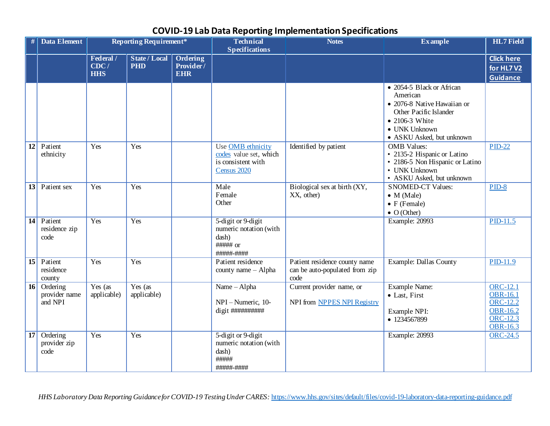| $\#$<br><b>Data Element</b>                         |                                 | <b>Reporting Requirement*</b>      |                                     | <b>Technical</b><br><b>Specifications</b>                                        | <b>Notes</b>                                                            | <b>Example</b>                                                                                                                                                 | <b>HL7</b> Field                                                                                        |
|-----------------------------------------------------|---------------------------------|------------------------------------|-------------------------------------|----------------------------------------------------------------------------------|-------------------------------------------------------------------------|----------------------------------------------------------------------------------------------------------------------------------------------------------------|---------------------------------------------------------------------------------------------------------|
|                                                     | Federal /<br>CDC/<br><b>HHS</b> | <b>State / Local</b><br><b>PHD</b> | Ordering<br>Provider/<br><b>EHR</b> |                                                                                  |                                                                         |                                                                                                                                                                | <b>Click here</b><br>for HL7V2<br><b>Guidance</b>                                                       |
|                                                     |                                 |                                    |                                     |                                                                                  |                                                                         | • 2054-5 Black or African<br>American<br>• 2076-8 Native Hawaiian or<br>Other Pacific Islander<br>• 2106-3 White<br>• UNK Unknown<br>• ASKU Asked, but unknown |                                                                                                         |
| 12<br>Patient<br>ethnicity                          | Yes                             | Yes                                |                                     | Use OMB ethnicity<br>codes value set, which<br>is consistent with<br>Census 2020 | Identified by patient                                                   | <b>OMB</b> Values:<br>• 2135-2 Hispanic or Latino<br>• 2186-5 Non Hispanic or Latino<br>• UNK Unknown<br>• ASKU Asked, but unknown                             | $PID-22$                                                                                                |
| 13<br>Patient sex                                   | Yes                             | Yes                                |                                     | Male<br>Female<br>Other                                                          | Biological sex at birth (XY,<br>XX, other)                              | <b>SNOMED-CT Values:</b><br>$\bullet$ M (Male)<br>$\bullet$ F (Female)<br>$\bullet$ O (Other)                                                                  | $PID-8$                                                                                                 |
| 14<br>Patient<br>residence zip<br>code              | Yes                             | Yes                                |                                     | 5-digit or 9-digit<br>numeric notation (with<br>dash)<br>#####-####              |                                                                         | Example: 20993                                                                                                                                                 | $PID-11.5$                                                                                              |
| $\overline{15}$<br>Patient<br>residence<br>county   | Yes                             | Yes                                |                                     | Patient residence<br>county name - Alpha                                         | Patient residence county name<br>can be auto-populated from zip<br>code | <b>Example: Dallas County</b>                                                                                                                                  | PID-11.9                                                                                                |
| 16<br>Ordering<br>provider name<br>and NPI          | Yes (as<br>applicable)          | Yes (as<br>applicable)             |                                     | Name - Alpha<br>NPI-Numeric, 10-<br>digit ##########                             | Current provider name, or<br>NPI from NPPES NPI Registry                | <b>Example Name:</b><br>• Last, First<br>Example NPI:<br>• 1234567899                                                                                          | ORC-12.1<br><b>OBR-16.1</b><br><b>ORC-12.2</b><br><b>OBR-16.2</b><br><b>ORC-12.3</b><br><b>OBR-16.3</b> |
| $\overline{17}$<br>Ordering<br>provider zip<br>code | Yes                             | Yes                                |                                     | 5-digit or 9-digit<br>numeric notation (with<br>dash)<br>#####<br>#####-####     |                                                                         | Example: 20993                                                                                                                                                 | <b>ORC-24.5</b>                                                                                         |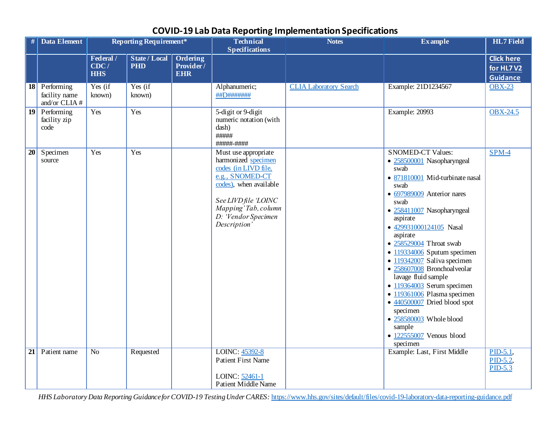|    | <b>Data Element</b>                          |                                 | <b>Reporting Requirement*</b>      |                                     | <b>Technical</b><br><b>Specifications</b>                                                                                                                                                              | <b>Notes</b>                  | <b>Example</b>                                                                                                                                                                                                                                                                                                                                                                                                                                                                                                                                                                                | <b>HL7</b> Field                                  |
|----|----------------------------------------------|---------------------------------|------------------------------------|-------------------------------------|--------------------------------------------------------------------------------------------------------------------------------------------------------------------------------------------------------|-------------------------------|-----------------------------------------------------------------------------------------------------------------------------------------------------------------------------------------------------------------------------------------------------------------------------------------------------------------------------------------------------------------------------------------------------------------------------------------------------------------------------------------------------------------------------------------------------------------------------------------------|---------------------------------------------------|
|    |                                              | Federal /<br>CDC/<br><b>HHS</b> | <b>State / Local</b><br><b>PHD</b> | Ordering<br>Provider/<br><b>EHR</b> |                                                                                                                                                                                                        |                               |                                                                                                                                                                                                                                                                                                                                                                                                                                                                                                                                                                                               | <b>Click here</b><br>for HL7V2<br><b>Guidance</b> |
| 18 | Performing<br>facility name<br>and/or CLIA # | Yes (if<br>known)               | Yes (if<br>known)                  |                                     | Alphanumeric;<br>##D#######                                                                                                                                                                            | <b>CLIA Laboratory Search</b> | Example: 21D1234567                                                                                                                                                                                                                                                                                                                                                                                                                                                                                                                                                                           | <b>OBX-23</b>                                     |
| 19 | Performing<br>facility zip<br>code           | Yes                             | Yes                                |                                     | $\overline{5}$ -digit or 9-digit<br>numeric notation (with<br>dash)<br>#####<br>#####-####                                                                                                             |                               | Example: 20993                                                                                                                                                                                                                                                                                                                                                                                                                                                                                                                                                                                | <b>OBX-24.5</b>                                   |
| 20 | Specimen<br>source                           | Yes                             | Yes                                |                                     | Must use appropriate<br>harmonized specimen<br>codes (in LIVD file.<br>e.g., SNOMED-CT<br>codes), when available<br>See LIVD file 'LOINC<br>Mapping' Tab, column<br>D: Vendor Specimen<br>Description' |                               | <b>SNOMED-CT Values:</b><br>· 258500001 Nasopharyngeal<br>swab<br>• 871810001 Mid-turbinate nasal<br>swab<br>• 697989009 Anterior nares<br>swab<br>• 258411007 Nasopharyngeal<br>aspirate<br>• 429931000124105 Nasal<br>aspirate<br>• 258529004 Throat swab<br>$\bullet$ 119334006 Sputum specimen<br>• 119342007 Saliva specimen<br>· 258607008 Bronchoalveolar<br>lavage fluid sample<br>$\bullet$ 119364003 Serum specimen<br>· 119361006 Plasma specimen<br>$\bullet$ 440500007 Dried blood spot<br>specimen<br>• 258580003 Whole blood<br>sample<br>• 122555007 Venous blood<br>specimen | $SPM-4$                                           |
| 21 | Patient name                                 | No                              | Requested                          |                                     | LOINC: 45392-8<br><b>Patient First Name</b><br>LOINC: 52461-1<br>Patient Middle Name                                                                                                                   |                               | Example: Last, First Middle                                                                                                                                                                                                                                                                                                                                                                                                                                                                                                                                                                   | $PID-5.1$<br>$PID-5.2$<br>$PID-5.3$               |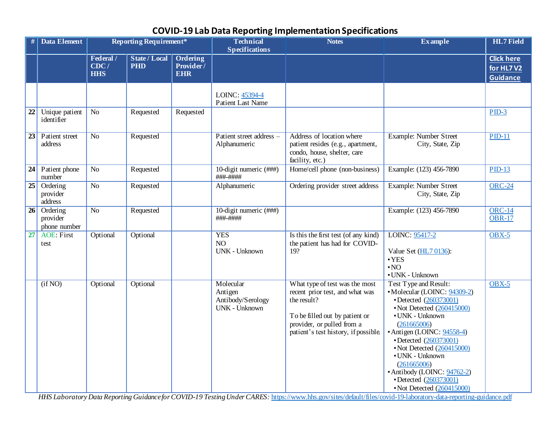|    | <b>Data Element</b>                  | <b>Reporting Requirement*</b>   |                                    |                                     | <b>Technical</b><br><b>Specifications</b>                         | <b>Notes</b>                                                                                                                                                                             | <b>Example</b>                                                                                                                                                                                                                                                                                                                                                         | <b>HL7</b> Field                                  |
|----|--------------------------------------|---------------------------------|------------------------------------|-------------------------------------|-------------------------------------------------------------------|------------------------------------------------------------------------------------------------------------------------------------------------------------------------------------------|------------------------------------------------------------------------------------------------------------------------------------------------------------------------------------------------------------------------------------------------------------------------------------------------------------------------------------------------------------------------|---------------------------------------------------|
|    |                                      | Federal /<br>CDC/<br><b>HHS</b> | <b>State / Local</b><br><b>PHD</b> | Ordering<br>Provider/<br><b>EHR</b> |                                                                   |                                                                                                                                                                                          |                                                                                                                                                                                                                                                                                                                                                                        | <b>Click here</b><br>for HL7V2<br><b>Guidance</b> |
|    |                                      |                                 |                                    |                                     | LOINC: 45394-4<br><b>Patient Last Name</b>                        |                                                                                                                                                                                          |                                                                                                                                                                                                                                                                                                                                                                        |                                                   |
| 22 | Unique patient<br>identifier         | N <sub>o</sub>                  | Requested                          | Requested                           |                                                                   |                                                                                                                                                                                          |                                                                                                                                                                                                                                                                                                                                                                        | $PID-3$                                           |
| 23 | Patient street<br>address            | $\overline{No}$                 | Requested                          |                                     | Patient street address -<br>Alphanumeric                          | Address of location where<br>patient resides (e.g., apartment,<br>condo, house, shelter, care<br>facility, etc.)                                                                         | <b>Example: Number Street</b><br>City, State, Zip                                                                                                                                                                                                                                                                                                                      | $PID-11$                                          |
| 24 | Patient phone<br>number              | N <sub>o</sub>                  | Requested                          |                                     | 10-digit numeric (###)<br>###-####                                | Home/cell phone (non-business)                                                                                                                                                           | Example: (123) 456-7890                                                                                                                                                                                                                                                                                                                                                | $PID-13$                                          |
| 25 | Ordering<br>provider<br>address      | $\rm No$                        | Requested                          |                                     | Alphanumeric                                                      | Ordering provider street address                                                                                                                                                         | Example: Number Street<br>City, State, Zip                                                                                                                                                                                                                                                                                                                             | <b>ORC-24</b>                                     |
| 26 | Ordering<br>provider<br>phone number | $\overline{No}$                 | Requested                          |                                     | 10-digit numeric (###)<br>###-####                                |                                                                                                                                                                                          | Example: (123) 456-7890                                                                                                                                                                                                                                                                                                                                                | $ORC-14$<br><b>OBR-17</b>                         |
| 27 | <b>AOE: First</b><br>test            | Optional                        | Optional                           |                                     | <b>YES</b><br>NO <sub>1</sub><br><b>UNK - Unknown</b>             | Is this the first test (of any kind)<br>the patient has had for COVID-<br>19?                                                                                                            | LOINC: 95417-2<br>Value Set (HL7 0136):<br>$\cdot$ YES<br>$\cdot$ NO<br>• UNK - Unknown                                                                                                                                                                                                                                                                                | $OBX-5$                                           |
|    | (ifNO)                               | Optional                        | Optional                           |                                     | Molecular<br>Antigen<br>Antibody/Serology<br><b>UNK - Unknown</b> | What type of test was the most<br>recent prior test, and what was<br>the result?<br>To be filled out by patient or<br>provider, or pulled from a<br>patient's test history, if possible. | Test Type and Result:<br>• Molecular (LOINC: 94309-2)<br>• Detected (260373001)<br>• Not Detected (260415000)<br>• UNK - Unknown<br>(261665006)<br>• Antigen (LOINC: 94558-4)<br>• Detected (260373001)<br>• Not Detected (260415000)<br>• UNK - Unknown<br>(261665006)<br>• Antibody (LOINC: 94762-2)<br>• Detected (260373001)<br>$\cdot$ Not Detected $(260415000)$ | $OBX-5$                                           |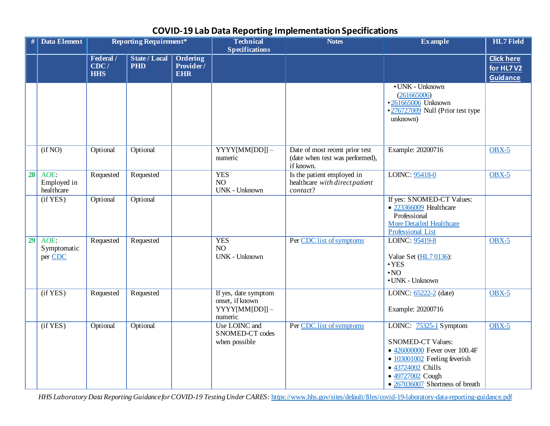|                 | <b>Data Element</b>               |                                 | <b>Reporting Requirement*</b>      |                                     | <b>Technical</b><br><b>Specifications</b>                           | <b>Notes</b>                                                                   | <b>Example</b>                                                                                                                                                                                              | <b>HL7</b> Field                                   |
|-----------------|-----------------------------------|---------------------------------|------------------------------------|-------------------------------------|---------------------------------------------------------------------|--------------------------------------------------------------------------------|-------------------------------------------------------------------------------------------------------------------------------------------------------------------------------------------------------------|----------------------------------------------------|
|                 |                                   | Federal /<br>CDC/<br><b>HHS</b> | <b>State / Local</b><br><b>PHD</b> | Ordering<br>Provider/<br><b>EHR</b> |                                                                     |                                                                                |                                                                                                                                                                                                             | <b>Click here</b><br>for HL7 V2<br><b>Guidance</b> |
|                 |                                   |                                 |                                    |                                     |                                                                     |                                                                                | • UNK - Unknown<br>(261665006)<br>•261665006 Unknown<br>•276727009 Null (Prior test type<br>unknown)                                                                                                        |                                                    |
|                 | (ifNO)                            | Optional                        | Optional                           |                                     | $YYYY$ [MM[DD]] -<br>numeric                                        | Date of most recent prior test<br>(date when test was performed),<br>if known. | Example: 20200716                                                                                                                                                                                           | $OBX-5$                                            |
| 28              | AOE:<br>Employed in<br>healthcare | Requested                       | Requested                          |                                     | <b>YES</b><br>NO<br><b>UNK - Unknown</b>                            | Is the patient employed in<br>healthcare with direct patient<br>contact?       | LOINC: 95418-0                                                                                                                                                                                              | $OBX-5$                                            |
|                 | (ifYES)                           | Optional                        | Optional                           |                                     |                                                                     |                                                                                | If yes: SNOMED-CT Values:<br>• 223366009 Healthcare<br>Professional<br><b>More Detailed Healthcare</b><br><b>Professional List</b>                                                                          |                                                    |
| $\overline{29}$ | AOE:<br>Symptomatic<br>per CDC    | Requested                       | Requested                          |                                     | <b>YES</b><br>NO<br><b>UNK - Unknown</b>                            | Per CDC list of symptoms                                                       | LOINC: 95419-8<br>Value Set (HL7 0136):<br>$\cdot$ YES<br>$\cdot$ NO<br>• UNK - Unknown                                                                                                                     | $OBX-5$                                            |
|                 | (if YES)                          | Requested                       | Requested                          |                                     | If yes, date symptom<br>onset, if known<br>YYYY[MM[DD]]-<br>numeric |                                                                                | LOINC: 65222-2 (date)<br>Example: 20200716                                                                                                                                                                  | $OBX-5$                                            |
|                 | (ifYES)                           | Optional                        | Optional                           |                                     | Use LOINC and<br>SNOMED-CT codes<br>when possible                   | Per CDC list of symptoms                                                       | LOINC: $75325-1$ Symptom<br><b>SNOMED-CT Values:</b><br>• $426000000$ Fever over 100.4F<br>$\bullet$ 103001002 Feeling feverish<br>• 43724002 Chills<br>• 49727002 Cough<br>• 267036007 Shortness of breath | $OBX-5$                                            |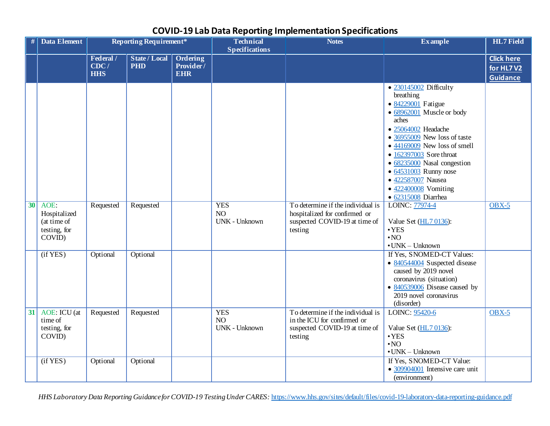| #               | <b>Data Element</b>                                              |                                 | <b>Reporting Requirement*</b>      |                                     | <b>Technical</b><br><b>Specifications</b> | <b>Notes</b>                                                                                                   | <b>Example</b>                                                                                                                                                                                                                                                                                                                                                         | <b>HL7</b> Field                                                |
|-----------------|------------------------------------------------------------------|---------------------------------|------------------------------------|-------------------------------------|-------------------------------------------|----------------------------------------------------------------------------------------------------------------|------------------------------------------------------------------------------------------------------------------------------------------------------------------------------------------------------------------------------------------------------------------------------------------------------------------------------------------------------------------------|-----------------------------------------------------------------|
|                 |                                                                  | Federal /<br>CDC/<br><b>HHS</b> | <b>State / Local</b><br><b>PHD</b> | Ordering<br>Provider/<br><b>EHR</b> |                                           |                                                                                                                |                                                                                                                                                                                                                                                                                                                                                                        | <b>Click here</b><br>for HL7 $\overline{V2}$<br><b>Guidance</b> |
|                 |                                                                  |                                 |                                    |                                     |                                           |                                                                                                                | • 230145002 Difficulty<br>breathing<br>• 84229001 Fatigue<br>• 68962001 Muscle or body<br>aches<br>• 25064002 Headache<br>$\bullet$ 36955009 New loss of taste<br>$\bullet$ 44169009 New loss of smell<br>• 162397003 Sore throat<br>• 68235000 Nasal congestion<br>• 64531003 Runny nose<br>• 422587007 Nausea<br>$\bullet$ 422400008 Vomiting<br>• 62315008 Diarrhea |                                                                 |
| $\overline{30}$ | AOE:<br>Hospitalized<br>(at time of<br>testing, for<br>$COVID$ ) | Requested                       | Requested                          |                                     | <b>YES</b><br>NO<br><b>UNK - Unknown</b>  | To determine if the individual is<br>hospitalized for confirmed or<br>suspected COVID-19 at time of<br>testing | LOINC: 77974-4<br>Value Set (HL7 0136):<br>$\cdot$ YES<br>$\cdot$ NO<br>$\cdot$ UNK - Unknown                                                                                                                                                                                                                                                                          | $OBX-5$                                                         |
|                 | (ifYES)                                                          | Optional                        | Optional                           |                                     |                                           |                                                                                                                | If Yes, SNOMED-CT Values:<br>• 840544004 Suspected disease<br>caused by 2019 novel<br>coronavirus (situation)<br>• 840539006 Disease caused by<br>2019 novel coronavirus<br>(disorder)                                                                                                                                                                                 |                                                                 |
| 31              | AOE: ICU (at<br>time of<br>testing, for<br>COVID)                | Requested                       | Requested                          |                                     | <b>YES</b><br>NO<br><b>UNK - Unknown</b>  | To determine if the individual is<br>in the ICU for confirmed or<br>suspected COVID-19 at time of<br>testing   | LOINC: 95420-6<br>Value Set (HL7 0136):<br>$\cdot$ YES<br>$\cdot$ NO<br>$\bullet$ UNK - Unknown                                                                                                                                                                                                                                                                        | $OBX-5$                                                         |
|                 | (if YES)                                                         | Optional                        | Optional                           |                                     |                                           |                                                                                                                | If Yes, SNOMED-CT Value:<br>• 309904001 Intensive care unit<br>(environment)                                                                                                                                                                                                                                                                                           |                                                                 |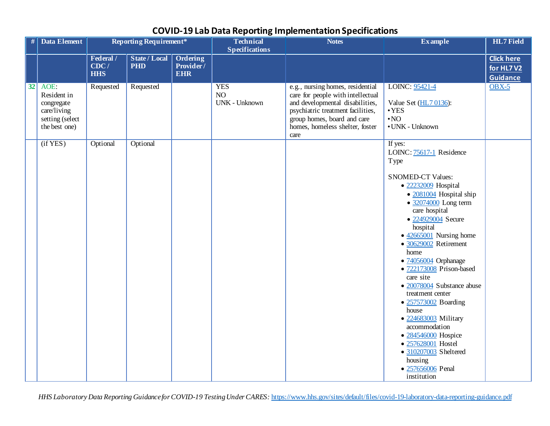| #  | Data Element                                                                         | Reporting Requirement*          |                                    |                                            | <b>Technical</b><br><b>Specifications</b> | <b>Notes</b>                                                                                                                                                                                                            | <b>Example</b>                                                                                                                                                                                                                                                                                                                                                                                                                                                                                                                                                                                            | <b>HL7</b> Field                                  |
|----|--------------------------------------------------------------------------------------|---------------------------------|------------------------------------|--------------------------------------------|-------------------------------------------|-------------------------------------------------------------------------------------------------------------------------------------------------------------------------------------------------------------------------|-----------------------------------------------------------------------------------------------------------------------------------------------------------------------------------------------------------------------------------------------------------------------------------------------------------------------------------------------------------------------------------------------------------------------------------------------------------------------------------------------------------------------------------------------------------------------------------------------------------|---------------------------------------------------|
|    |                                                                                      | Federal /<br>CDC/<br><b>HHS</b> | <b>State / Local</b><br><b>PHD</b> | <b>Ordering</b><br>Provider/<br><b>EHR</b> |                                           |                                                                                                                                                                                                                         |                                                                                                                                                                                                                                                                                                                                                                                                                                                                                                                                                                                                           | <b>Click here</b><br>for HL7V2<br><b>Guidance</b> |
| 32 | AOE:<br>Resident in<br>congregate<br>care/living<br>setting (select<br>the best one) | Requested                       | Requested                          |                                            | <b>YES</b><br>NO<br><b>UNK - Unknown</b>  | e.g., nursing homes, residential<br>care for people with intellectual<br>and developmental disabilities,<br>psychiatric treatment facilities,<br>group homes, board and care<br>homes, homeless shelter, foster<br>care | LOINC: 95421-4<br>Value Set (HL7 0136):<br>$\cdot$ YES<br>$\boldsymbol{\cdot}$ NO<br>• UNK - Unknown                                                                                                                                                                                                                                                                                                                                                                                                                                                                                                      | $OBX-5$                                           |
|    | (if YES)                                                                             | Optional                        | Optional                           |                                            |                                           |                                                                                                                                                                                                                         | If yes:<br>LOINC: 75617-1 Residence<br><b>Type</b><br><b>SNOMED-CT Values:</b><br>• 22232009 Hospital<br>• 2081004 Hospital ship<br>$\bullet$ 32074000 Long term<br>care hospital<br>• 224929004 Secure<br>hospital<br>$\bullet$ 42665001 Nursing home<br>• 30629002 Retirement<br>home<br>• 74056004 Orphanage<br>· 722173008 Prison-based<br>care site<br>• 20078004 Substance abuse<br>treatment center<br>• 257573002 Boarding<br>house<br>• 224683003 Military<br>accommodation<br>• 284546000 Hospice<br>• 257628001 Hostel<br>• 310207003 Sheltered<br>housing<br>• 257656006 Penal<br>institution |                                                   |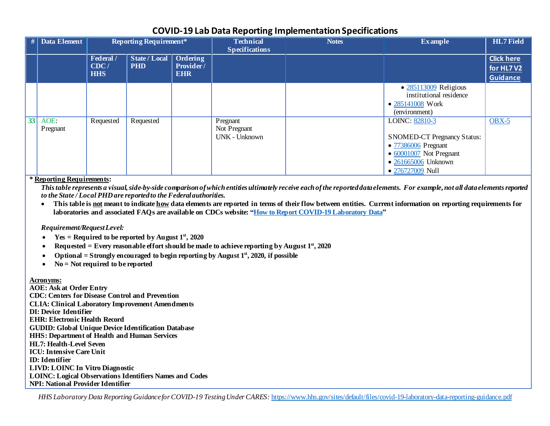| #  | <b>Data Element</b> | <b>Reporting Requirement*</b>   |                                        |                         | <b>Technical</b><br><b>Specifications</b>        | <b>Notes</b> | <b>Example</b>                                                                                                                                            | <b>HL7</b> Field                                  |
|----|---------------------|---------------------------------|----------------------------------------|-------------------------|--------------------------------------------------|--------------|-----------------------------------------------------------------------------------------------------------------------------------------------------------|---------------------------------------------------|
|    |                     | Federal /<br>CDC/<br><b>HHS</b> | State / Local   Ordering<br><b>PHD</b> | Provider/<br><b>EHR</b> |                                                  |              |                                                                                                                                                           | <b>Click here</b><br>for HL7V2<br><b>Guidance</b> |
|    |                     |                                 |                                        |                         |                                                  |              | $\bullet$ 285113009 Religious<br>institutional residence<br>• 285141008 Work<br>(environment)                                                             |                                                   |
| 33 | AOE:<br>Pregnant    | Requested                       | Requested                              |                         | Pregnant<br>Not Pregnant<br><b>UNK - Unknown</b> |              | LOINC: 82810-3<br><b>SNOMED-CT Pregnancy Status:</b><br>• 77386006 Pregnant<br>$\bullet$ 60001007 Not Pregnant<br>• 261665006 Unknown<br>• 276727009 Null | $OBX-5$                                           |

**\* Reporting Requirements:**

*This table represents a visual, side-by-side comparison of which entities ultimately receive each of the reported data elements. For example, not all data elements reported to the State / Local PHD are reported to the Federal authorities.*

• **This table is not meant to indicate how data elements are reported in terms of their flow between entities. Current information on reporting requirements for laboratories and associated FAQs are available on CDCs website: ["How to Report COVID-19 Laboratory Data"](https://www.cdc.gov/coronavirus/2019-ncov/lab/reporting-lab-data.html)**

#### *Requirement/Request Level:*

- **Yes = Required to be reported by August**  $1<sup>st</sup>$ **, 2020**
- **Requested = Every reasonable effort should be made to achieve reporting by August 1st, 2020**
- **Optional = Strongly encouraged to begin reporting by August 1st, 2020, if possible**
- **No = Not required to be reported**

#### **Acronyms:**

**AOE: Ask at Order Entry CDC: Centers for Disease Control and Prevention CLIA: Clinical Laboratory Improvement Amendments DI: Device Identifier EHR: Electronic Health Record GUDID: Global Unique Device Identification Database HHS: Department of Health and Human Services HL7: Health-Level Seven ICU: Intensive Care Unit ID: Identifier LIVD: LOINC In Vitro Diagnostic LOINC: Logical Observations Identifiers Names and Codes NPI: National Provider Identifier**